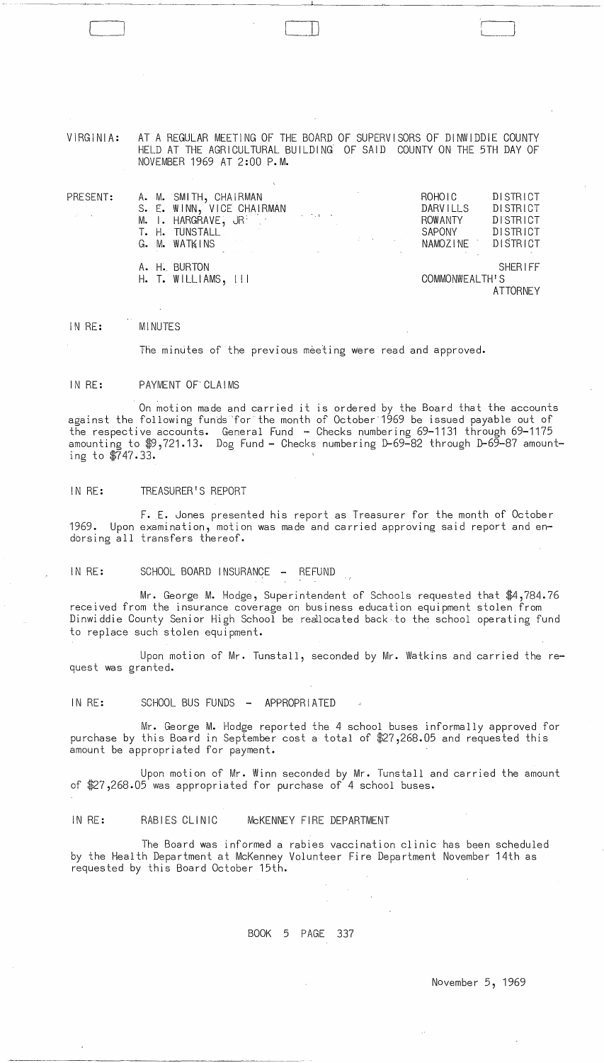| VIRGINIA:                                                           | AT A REGULAR MEETING OF THE BOARD OF SUPERVISORS OF DINWIDDIE COUNTY<br>HELD AT THE AGRICULTURAL BUILDING OF SAID COUNTY ON THE 5TH DAY OF<br>NOVEMBER 1969 AT 2:00 P.M.                                                                                                                                                                                                                                                                                                                                                                                                                                              |                                                                                                                                   |
|---------------------------------------------------------------------|-----------------------------------------------------------------------------------------------------------------------------------------------------------------------------------------------------------------------------------------------------------------------------------------------------------------------------------------------------------------------------------------------------------------------------------------------------------------------------------------------------------------------------------------------------------------------------------------------------------------------|-----------------------------------------------------------------------------------------------------------------------------------|
| PRESENT:<br>$\mathcal{L}_{\mathbf{r}}$ , $\mathcal{L}_{\mathbf{r}}$ | A. M. SMITH, CHAIRMAN<br>S. E. WINN, VICE CHAIRMAN<br>$\alpha$ , and $\alpha$ , and $\alpha$<br>M. I. HARGRAVE, JR.<br>T. H. TUNSTALL<br>$\mathcal{L}(\mathcal{L}(\mathcal{L}(\mathcal{L}(\mathcal{L}(\mathcal{L}(\mathcal{L}(\mathcal{L}(\mathcal{L}(\mathcal{L}(\mathcal{L}(\mathcal{L}(\mathcal{L}(\mathcal{L}(\mathcal{L}(\mathcal{L}(\mathcal{L}(\mathcal{L}(\mathcal{L}(\mathcal{L}(\mathcal{L}(\mathcal{L}(\mathcal{L}(\mathcal{L}(\mathcal{L}(\mathcal{L}(\mathcal{L}(\mathcal{L}(\mathcal{L}(\mathcal{L}(\mathcal{L}(\mathcal{L}(\mathcal{L}(\mathcal{L}(\mathcal{L}(\mathcal{L}(\mathcal{$<br>G. M. WATKINS | <b>DISTRICT</b><br>ROHOLC<br><b>DARVILLS</b><br>DISTRICT<br>DISTRICT<br><b>ROWANTY</b><br>DISTRICT<br>SAPONY<br>NAMOZINE DISTRICT |
|                                                                     | A. H. BURTON<br>$H.$ T. WILLIAMS, $111$                                                                                                                                                                                                                                                                                                                                                                                                                                                                                                                                                                               | <b>SHERIFF</b><br>COMMONWEALTH'S                                                                                                  |

LJJ

**ATTORNEY** 

#### IN RE: MINUTES

 $\sim$ 

---~---~----

VIRGINIA:

The minutes of the previous meeting were read and approved.

#### IN RE: PAYMENT OF'CLAIMS

On motion made and carried it is ordered by the Board that the accounts against the following funds 'for the month of October"1969 be issued payable out of the respective accounts. General Fund - Checks numbering 69-1131 through 69-1175 amounting to \$9,721.13. Dog Fund - Checks numbering D-69-82 through D-69-87 amounting to \$747.33.

#### IN RE: TREASURER'S REPORT

F. E. Jones presented his report as Treasurer for the month of October 1969. Upon examination, motion was made and carried approving said report and endorsing all transfers thereof.

IN RE: SCHOOL BOARD INSURANCE - REFUND

Mr. George M. Hodge, Superintendent of Schools requested that \$4,784.76 received from the insurance coverage on business education equipment stolen from Dinwiddie County Senior High School be realocated back to the school operating fund to replace such stolen equipment.

Upon motion of Mr. Tunstall, seconded by Mr. Watkins and carried the request was granted.

IN RE: SCHOOL BUS FUNDS - APPROPRIATED

Mr. George M. Hodge reported the 4 school buses informally approved for purchase by this Board in September cost a total of \$27,268.05 and requested this amount be appropriated for payment.

Upon motion of Mr. Winn seconded by Mr. Tunstall and carried the amount of \$27,268.05 was appropriated for purchase of 4 school buses.

IN RE: RABIES CLINIC McKENNEY FIRE DEPARTMENT

The Board was informed a rabies vaccination clinic has been scheduled by the Health Department at McKenney Volunteer Fire Department November 14th as requested by this Board October 15th.

### BOOK 5 PAGE 337

November 5, 1969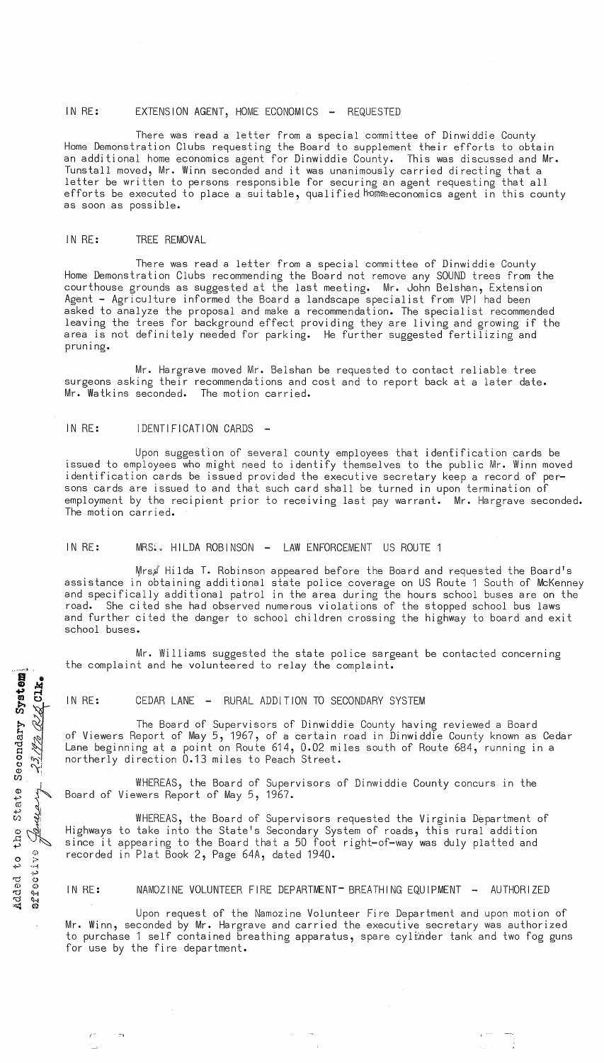#### IN RE: EXTENSION AGENT, HOME ECONOMICS - REQUESTED

There was read a letter from a special committee of Dinwiddie County Home Demonstration Clubs requesting the Board to supplement their efforts to obtain an additional home economics agent for Dinwiddie County. This was discussed and Mr. Tunstall moved, Mr. Winn seconded and it was unanimously carried directing that a letter be written to persons responsible for securing an agent requesting that all efforts be executed to place a suitable, qualified home economics agent in this county as soon as possible.

#### IN RE: TREE REMOVAL

There was read a letter from a special committee of Dinwiddie County Home Demonstration Clubs recommending the Board not remove any SOUND trees from the courthouse grounds as suggested at the last meeting. Mr. John Belshan, Extension Agent - Agriculture informed the Board a landscape specialist from VPI had been asked to analyze the proposal and make a recommendation. The specialist recommended leaving the trees for background effect providing they are living and growing if the area is not definitely needed for parking. He further suggested fertilizing and pruning.

Mr. Hargrave moved Mr. Belshan be requested to contact reliable tree surgeons asking their recommendations and cost and to report back at a later date.<br>Mr. Watkins seconded. The motion carried. Mr. Watkins seconded.

#### IN RE: IDENTIFICATION CARDS

 $\overline{B}$  . Bte<br>Clk

 $\vec{a}$  $\sim$   $\frac{3}{2}$  m

 $\sigma$ 

 $\omega$ 

 $\circ \sim$  $\frac{1}{2}$ (;) 0 **;.>**  +" ---f . ق. 'D ('j  $\circ$   $\circ$ 't:l <H **'-(j** ~N < til

I·

Upon suggestion of several county employees that idenfification cards be issued to employees who might need to identify themselves to the public Mr. Winn moved identification cards be issued provided the executive secretary keep a record of persons cards are issued to and that such card shall be turned in upon termination of employment by the recipient prior to receiving last pay warrant. Mr. Hargrave seconded. The motion carried.

# IN RE: MRSS. HILDA ROBINSON - LAW ENFORCEMENT US ROUTE 1

Mrs, Hilda T. Robinson appeared before the Board and requested the Board's assistance in obtaining additional state police coverage on US Route 1 South of McKenney and specifically additional patrol in the area during the hours school buses are on the road. She cited she had observed numerous violations of the stopped school bus laws and further cited the danger to school children crossing the highway to board and exit school buses.

Mr. Williams suggested the state police sargeant be contacted concerning the complaint and he volunteered to relay the complaint.

#### IN RE: CEDAR LANE - RURAL ADDITION TO SECONDARY SYSTEM

 $\mathbb{R}^2$ The Board of Supervisors of Dinwiddie County having reviewed a Board of Viewers Report of May 5, 1967, of a certain road in Dinwiddie County known as Cedar Lane beginning at a point on Route 614, 0.02 miles south of Route 684, running in a northerly direction 0.13 miles to Peach Street.

WHEREAS, the Board of Supervisors of Dinwiddie County concurs in the Board of Viewers Report of May 5, 1967.

 $\frac{25}{9}$ WHEREAS, the Board of Supervisors requested the Virginia Department of Highways to take into the State's Secondary System of roads, this rural addition since it appearing to the Board that a 50 foot right-of-way was duly platted and recorded in Plat Book 2, Page 64A, dated 1940.

#### IN RE: MAMOZINE VOLUNTEER FIRE DEPARTMENT- BREATHING EQUIPMENT - AUTHORIZED

Upon request of the Namozine Volunteer Fire Department and upon motion of Mr. Winn, seconded by Mr. Hargrave and carried the executive secretary was authorized to purchase 1 self contained breathing apparatus, spare cylinder tank and two fog guns for use by the fire department.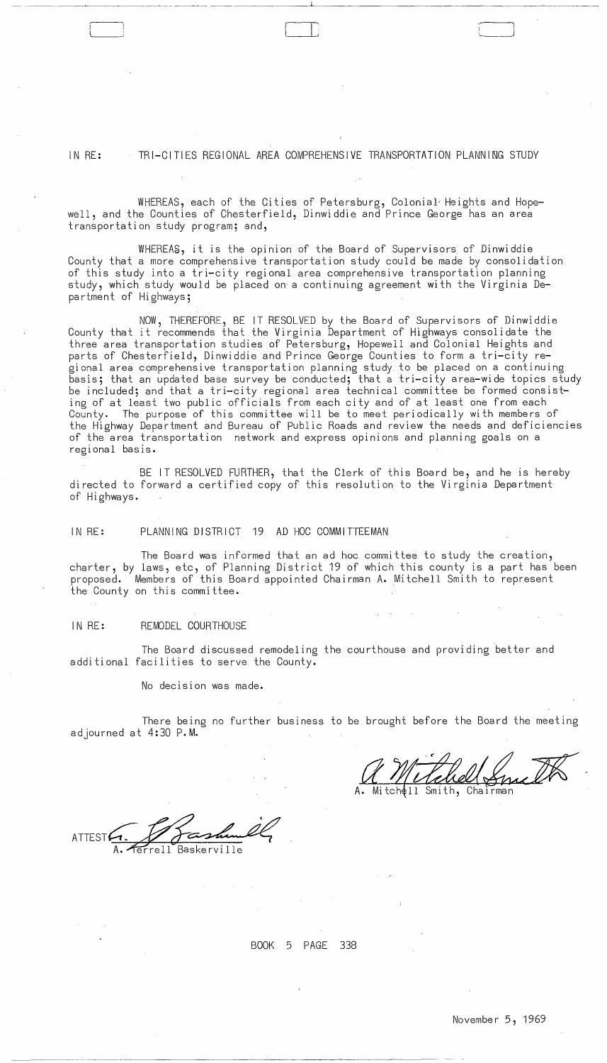IN RE: TRI-CITIES REGIONAL AREA COMPREHENSIVE TRANSPORTATION PLANNING STUDY

--~- -~~~~~--~-~---- -~~ ~-- ~~--~~--''-------~~---~-----~-~--~---

WHEREAS, each of the Cities of Petersburg, Colonial Heights and Hopewell, and the Counties of Chesterfield, Dinwi ddie and Prince George has an area transportation study program; and,

WHEREAg, it is the opinion of the Board of Supervisors of Dinwiddie County that a more comprehensive transportation study could be made by consolidation of this study into a tri-city regional area comprehensive transportation planning study, which study would be placed on a continuing agreement with the Virginia Department of Highways;

NOW, THEREFORE, BE IT RESOLVED by the Board of Supervisors of Dinwiddie County that it recommends that the Virginia Department of Highways consolidate the three area transportation studies of Petersburg, Hopewell and Colonial Heights and parts of Chesterfield, Dinwiddie and Prince George Counties to form a tri-city regional area comprehensive transportation planning study to be placed on a continuing basis; that an updated base survey be conducted; that a tri-city area-wide topics study be included; and that a tri-city regional area technical committee be formed consisting of at least two public officials from each city and of at least one from each County. The purpose of this committee will be to meet periodically with members of the Highway Department and Bureau of public Roads and review the needs and deficiencies of the area transportation network and express opinions and planning goals on a regional basis.

BE IT RESOLVED FURTHER, that the Clerk of this Board be, and he is hereby directed to forward a certified copy of this resolution to the Virginia Department of Highways.

IN RE: PLANNING DISTRICT 19 AD HOC COMMITTEEMAN

The Board was informed that an ad hoc committee to study the creation, charter, by laws, etc, of Planning District 19 of which this county is a part has been proposed. Members of this Board appointed Chairman A.Mitchell Smith to represent the County on this committee.

## IN **RE:** REMODEL COURTHOUSE

The Board discussed remodeling the courthouse and providing better and additional facilities to serve the County.

No decision was made.

There being no further business to be brought before the Board the meeting adjourned at 4:30 P.M.

 $\sigma_{\rm{max}}=1$ 

------------\_. ----~-----~-~~---

 $\sim$   $\sim$ 

BOOK 5 PAGE 338

 $\langle \cdot \rangle$ 

 $\mathcal{L}$ 

 $\Delta \phi = 0.002$  .